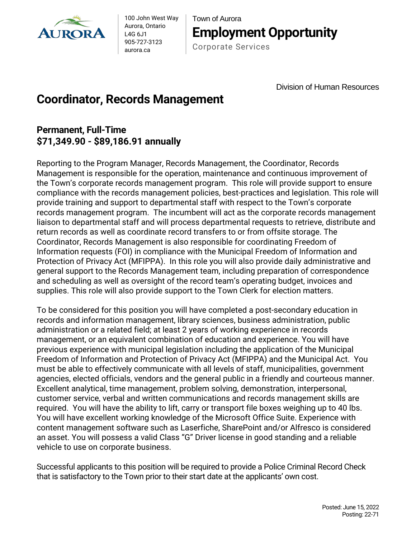

100 John West Way Aurora, Ontario L4G 6J1 905-727-3123 aurora.ca

Town of Aurora **Employment Opportunity**

Corporate Services

Division of Human Resources

## **Coordinator, Records Management**

## **Permanent, Full-Time \$71,349.90 - \$89,186.91 annually**

Reporting to the Program Manager, Records Management, the Coordinator, Records Management is responsible for the operation, maintenance and continuous improvement of the Town's corporate records management program. This role will provide support to ensure compliance with the records management policies, best-practices and legislation. This role will provide training and support to departmental staff with respect to the Town's corporate records management program. The incumbent will act as the corporate records management liaison to departmental staff and will process departmental requests to retrieve, distribute and return records as well as coordinate record transfers to or from offsite storage. The Coordinator, Records Management is also responsible for coordinating Freedom of Information requests (FOI) in compliance with the Municipal Freedom of Information and Protection of Privacy Act (MFIPPA). In this role you will also provide daily administrative and general support to the Records Management team, including preparation of correspondence and scheduling as well as oversight of the record team's operating budget, invoices and supplies. This role will also provide support to the Town Clerk for election matters.

To be considered for this position you will have completed a post-secondary education in records and information management, library sciences, business administration, public administration or a related field; at least 2 years of working experience in records management, or an equivalent combination of education and experience. You will have previous experience with municipal legislation including the application of the Municipal Freedom of Information and Protection of Privacy Act (MFIPPA) and the Municipal Act. You must be able to effectively communicate with all levels of staff, municipalities, government agencies, elected officials, vendors and the general public in a friendly and courteous manner. Excellent analytical, time management, problem solving, demonstration, interpersonal, customer service, verbal and written communications and records management skills are required. You will have the ability to lift, carry or transport file boxes weighing up to 40 lbs. You will have excellent working knowledge of the Microsoft Office Suite. Experience with content management software such as Laserfiche, SharePoint and/or Alfresco is considered an asset. You will possess a valid Class "G" Driver license in good standing and a reliable vehicle to use on corporate business.

Successful applicants to this position will be required to provide a Police Criminal Record Check that is satisfactory to the Town prior to their start date at the applicants' own cost.